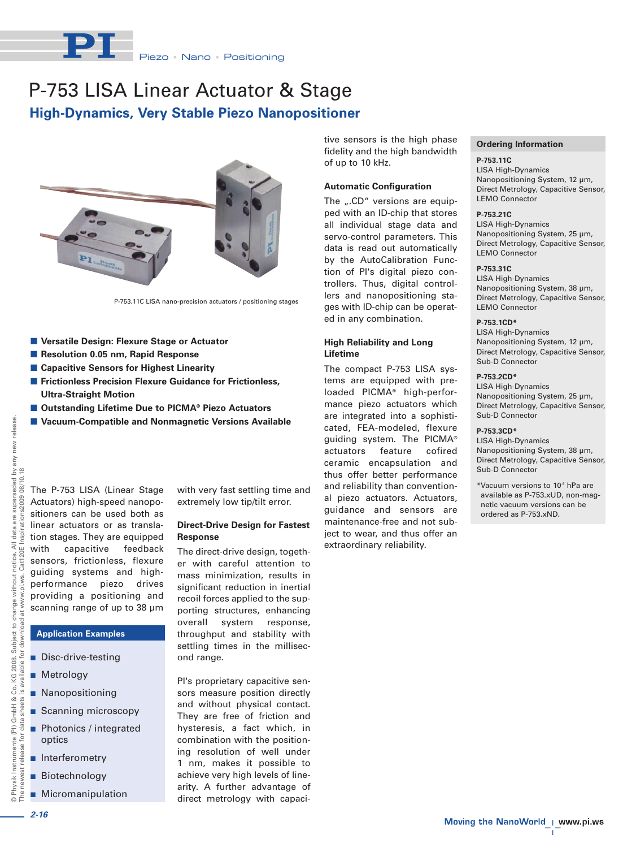

# **High-Dynamics, Very Stable Piezo Nanopositioner** P-753 LISA Linear Actuator & Stage



P-753.11C LISA nano-precision actuators / positioning stages

- **Versatile Design: Flexure Stage or Actuator**
- **Resolution 0.05 nm, Rapid Response**
- Capacitive Sensors for Highest Linearity
- **Frictionless Precision Flexure Guidance for Frictionless, Ultra-Straight Motion**
- Outstanding Lifetime Due to PICMA® Piezo Actuators
- **Vacuum-Compatible and Nonmagnetic Versions Available**

seded by any new release.<br>08/10.18 The P-753 LISA (Linear Stage Actuators) high-speed nanopositioners can be used both as linear actuators or as translation stages. They are equipped with capacitive feedback Cat120E sensors, frictionless, flexure guiding systems and highperformance piezo drives providing a positioning and scanning range of up to 38 µm

# **Application Examples**

- Disc-drive-testing
- **Metrology**
- **Nanopositioning**
- Scanning microscopy
- Photonics / integrated optics
- **n** Interferometry
- **Biotechnology**
- **Micromanipulation**

with very fast settling time and extremely low tip/tilt error.

#### **Direct-Drive Design for Fastest Response**

The direct-drive design, together with careful attention to mass minimization, results in significant reduction in inertial recoil forces applied to the supporting structures, enhancing overall system response, throughput and stability with settling times in the millisecond range.

PI's proprietary capacitive sensors measure position directly and without physical contact. They are free of friction and hysteresis, a fact which, in combination with the positioning resolution of well under 1 nm, makes it possible to achieve very high levels of linearity. A further advantage of direct metrology with capacitive sensors is the high phase fidelity and the high bandwidth of up to 10 kHz.

#### **Automatic Configuration**

The ...CD" versions are equipped with an ID-chip that stores all individual stage data and servo-control parameters. This data is read out automatically by the AutoCalibration Function of PI's digital piezo controllers. Thus, digital controllers and nanopositioning stages with ID-chip can be operated in any combination.

## **High Reliability and Long Lifetime**

The compact P-753 LISA systems are equipped with preloaded PICMA® high-performance piezo actuators which are integrated into a sophisticated, FEA-modeled, flexure guiding system. The PICMA® actuators feature cofired ceramic encapsulation and thus offer better performance and reliability than conventional piezo actuators. Actuators, guidance and sensors are maintenance-free and not subject to wear, and thus offer an extraordinary reliability.

### **Ordering Information**

**P-753.11C** LISA High-Dynamics Nanopositioning System, 12 µm, Direct Metrology, Capacitive Sensor, LEMO Connector

#### **P-753.21C**

LISA High-Dynamics Nanopositioning System, 25 µm, Direct Metrology, Capacitive Sensor, LEMO Connector

#### **P-753.31C**

LISA High-Dynamics Nanopositioning System, 38 µm, Direct Metrology, Capacitive Sensor, LEMO Connector

### **P-753.1CD\***

LISA High-Dynamics Nanopositioning System, 12 µm, Direct Metrology, Capacitive Sensor, Sub-D Connector

#### **P-753.2CD\***

LISA High-Dynamics Nanopositioning System, 25 µm, Direct Metrology, Capacitive Sensor, Sub-D Connector

# **P-753.3CD\***

LISA High-Dynamics Nanopositioning System, 38 µm, Direct Metrology, Capacitive Sensor, Sub-D Connector

\*Vacuum versions to 10-9 hPa are available as P-753.xUD, non-magnetic vacuum versions can be ordered as P-753.xND.

seded  $2009C$ are super

data  $\equiv$ 

*2-16*